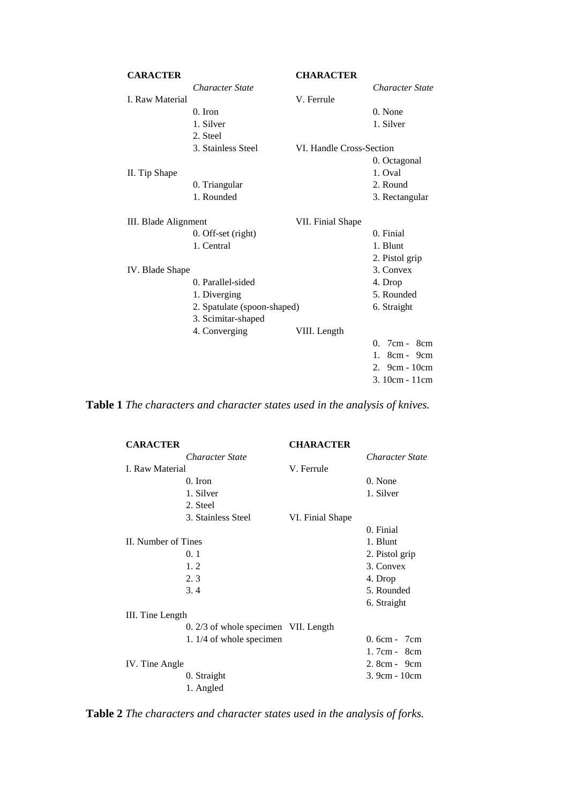|                        | <b>CHARACTER</b>         |                             |
|------------------------|--------------------------|-----------------------------|
| <b>Character State</b> |                          | <b>Character State</b>      |
|                        | V. Ferrule               |                             |
| $0.$ Iron              |                          | 0. None                     |
| 1. Silver              |                          | 1. Silver                   |
| 2. Steel               |                          |                             |
| 3. Stainless Steel     | VI. Handle Cross-Section |                             |
|                        |                          | 0. Octagonal                |
|                        |                          | 1. Oval                     |
| 0. Triangular          |                          | 2. Round                    |
| 1. Rounded             |                          | 3. Rectangular              |
| III. Blade Alignment   | VII. Finial Shape        |                             |
| 0. Off-set (right)     |                          | 0. Finial                   |
| 1. Central             |                          | 1. Blunt                    |
|                        |                          | 2. Pistol grip              |
| IV. Blade Shape        |                          | 3. Convex                   |
| 0. Parallel-sided      |                          | 4. Drop                     |
| 1. Diverging           |                          | 5. Rounded                  |
|                        |                          | 6. Straight                 |
| 3. Scimitar-shaped     |                          |                             |
| 4. Converging          | VIII. Length             |                             |
|                        |                          | 0. 7cm - 8cm                |
|                        |                          | $8cm - 9cm$<br>$1_{-}$      |
|                        |                          | 2. $9cm - 10cm$             |
|                        |                          | 3. 10cm - 11cm              |
|                        |                          | 2. Spatulate (spoon-shaped) |

**Table 1** *The characters and character states used in the analysis of knives.*

| <b>CHARACTER</b>                     |                 |  |  |  |  |
|--------------------------------------|-----------------|--|--|--|--|
|                                      | Character State |  |  |  |  |
| V. Ferrule                           |                 |  |  |  |  |
|                                      | 0. None         |  |  |  |  |
|                                      | 1. Silver       |  |  |  |  |
|                                      |                 |  |  |  |  |
| VI. Finial Shape                     |                 |  |  |  |  |
|                                      | 0. Finial       |  |  |  |  |
|                                      | 1. Blunt        |  |  |  |  |
|                                      | 2. Pistol grip  |  |  |  |  |
|                                      | 3. Convex       |  |  |  |  |
|                                      | 4. Drop         |  |  |  |  |
|                                      | 5. Rounded      |  |  |  |  |
|                                      | 6. Straight     |  |  |  |  |
| III. Tine Length                     |                 |  |  |  |  |
| 0. 2/3 of whole specimen VII. Length |                 |  |  |  |  |
| 1. 1/4 of whole specimen             | $0.6cm - 7cm$   |  |  |  |  |
|                                      | $1.7cm - 8cm$   |  |  |  |  |
|                                      | 2. 8cm - 9cm    |  |  |  |  |
|                                      | 3.9cm - 10cm    |  |  |  |  |
|                                      |                 |  |  |  |  |

**Table 2** *The characters and character states used in the analysis of forks.*